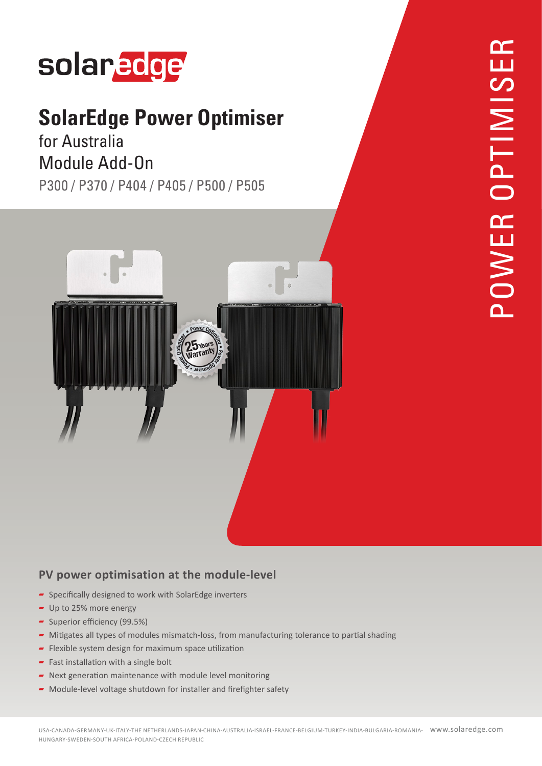# solaredge

### **SolarEdge Power Optimiser**

### for Australia Module Add-On

P300 / P370 / P404 / P405 / P500 / P505



#### **PV power optimisation at the module-level**

- $\blacktriangleright$  Specifically designed to work with SolarEdge inverters
- $-$  Up to 25% more energy
- Superior efficiency  $(99.5%)$
- $\blacktriangleright$  Mitigates all types of modules mismatch-loss, from manufacturing tolerance to partial shading
- $\blacksquare$  Flexible system design for maximum space utilization
- Fast installation with a single bolt
- $\blacksquare$  Next generation maintenance with module level monitoring
- $\blacktriangleright$  Module-level voltage shutdown for installer and firefighter safety